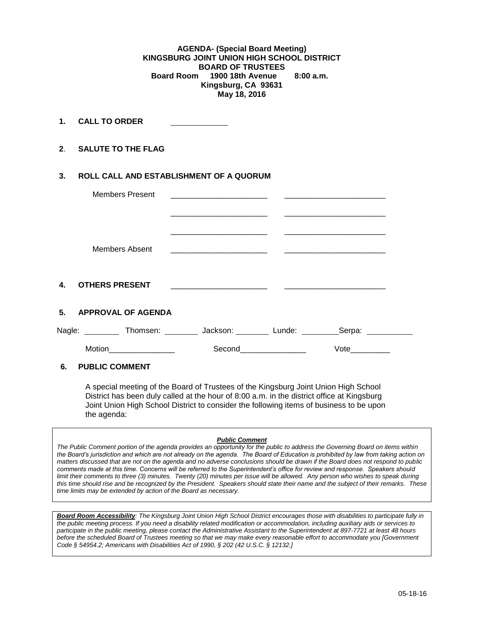**AGENDA- (Special Board Meeting) KINGSBURG JOINT UNION HIGH SCHOOL DISTRICT BOARD OF TRUSTEES Board Room 1900 18th Avenue 8:00 a.m. Kingsburg, CA 93631 May 18, 2016**

**1. CALL TO ORDER** 

**2**. **SALUTE TO THE FLAG**

the agenda:

## **3. ROLL CALL AND ESTABLISHMENT OF A QUORUM**

| <b>Members Present</b>                                                                     |                       |             |  |
|--------------------------------------------------------------------------------------------|-----------------------|-------------|--|
|                                                                                            |                       |             |  |
| Members Absent                                                                             |                       |             |  |
|                                                                                            |                       |             |  |
| $\mathbf{4}$<br><b>OTHERS PRESENT</b>                                                      |                       |             |  |
| 5. APPROVAL OF AGENDA                                                                      |                       |             |  |
| Nagle: ___________ Thomsen: _________ Jackson: _________ Lunde: __________Serpa: _________ |                       |             |  |
|                                                                                            | Second_______________ | <b>Vote</b> |  |
| 6.<br><b>PUBLIC COMMENT</b>                                                                |                       |             |  |

A special meeting of the Board of Trustees of the Kingsburg Joint Union High School District has been duly called at the hour of 8:00 a.m. in the district office at Kingsburg Joint Union High School District to consider the following items of business to be upon

#### *Public Comment*

*The Public Comment portion of the agenda provides an opportunity for the public to address the Governing Board on items within the Board's jurisdiction and which are not already on the agenda. The Board of Education is prohibited by law from taking action on matters discussed that are not on the agenda and no adverse conclusions should be drawn if the Board does not respond to public comments made at this time. Concerns will be referred to the Superintendent's office for review and response. Speakers should limit their comments to three (3) minutes. Twenty (20) minutes per issue will be allowed. Any person who wishes to speak during this time should rise and be recognized by the President. Speakers should state their name and the subject of their remarks. These time limits may be extended by action of the Board as necessary.*

*Board Room Accessibility: The Kingsburg Joint Union High School District encourages those with disabilities to participate fully in the public meeting process. If you need a disability related modification or accommodation, including auxiliary aids or services to participate in the public meeting, please contact the Administrative Assistant to the Superintendent at 897-7721 at least 48 hours before the scheduled Board of Trustees meeting so that we may make every reasonable effort to accommodate you [Government Code § 54954.2; Americans with Disabilities Act of 1990, § 202 (42 U.S.C. § 12132.]*